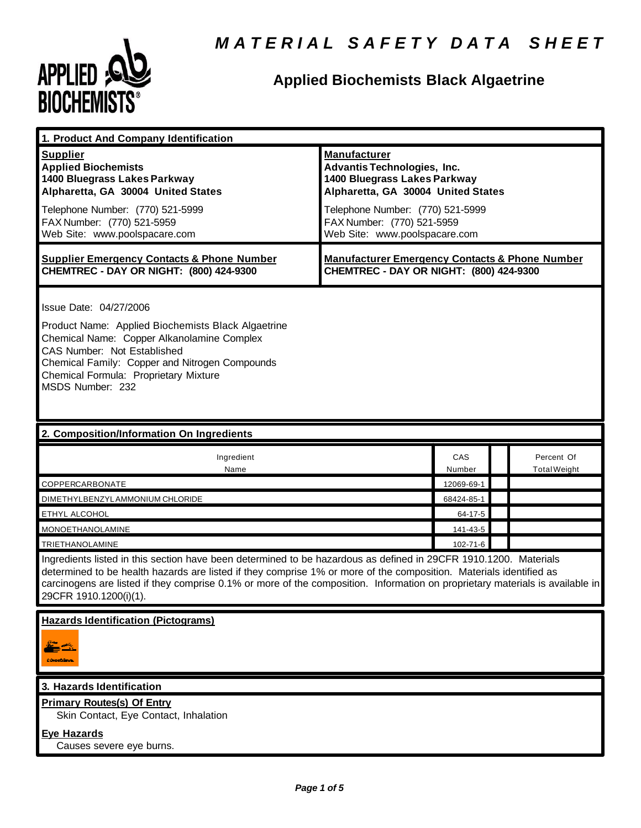

# **Applied Biochemists Black Algaetrine**

| 1. Product And Company Identification                                                                                                                                                                                                                                                                                                                                                            |                                                                                                                                                                                                                                    |               |                                   |
|--------------------------------------------------------------------------------------------------------------------------------------------------------------------------------------------------------------------------------------------------------------------------------------------------------------------------------------------------------------------------------------------------|------------------------------------------------------------------------------------------------------------------------------------------------------------------------------------------------------------------------------------|---------------|-----------------------------------|
| <b>Supplier</b><br><b>Applied Biochemists</b><br>1400 Bluegrass Lakes Parkway<br>Alpharetta, GA 30004 United States<br>Telephone Number: (770) 521-5999<br>FAX Number: (770) 521-5959<br>Web Site: www.poolspacare.com                                                                                                                                                                           | <b>Manufacturer</b><br><b>Advantis Technologies, Inc.</b><br>1400 Bluegrass Lakes Parkway<br>Alpharetta, GA 30004 United States<br>Telephone Number: (770) 521-5999<br>FAX Number: (770) 521-5959<br>Web Site: www.poolspacare.com |               |                                   |
| <b>Supplier Emergency Contacts &amp; Phone Number</b><br>CHEMTREC - DAY OR NIGHT: (800) 424-9300                                                                                                                                                                                                                                                                                                 | <b>Manufacturer Emergency Contacts &amp; Phone Number</b><br>CHEMTREC - DAY OR NIGHT: (800) 424-9300                                                                                                                               |               |                                   |
| Issue Date: 04/27/2006<br>Product Name: Applied Biochemists Black Algaetrine<br>Chemical Name: Copper Alkanolamine Complex<br>CAS Number: Not Established<br>Chemical Family: Copper and Nitrogen Compounds<br>Chemical Formula: Proprietary Mixture<br>MSDS Number: 232                                                                                                                         |                                                                                                                                                                                                                                    |               |                                   |
| 2. Composition/Information On Ingredients                                                                                                                                                                                                                                                                                                                                                        |                                                                                                                                                                                                                                    |               |                                   |
| Ingredient<br>Name                                                                                                                                                                                                                                                                                                                                                                               |                                                                                                                                                                                                                                    | CAS<br>Number | Percent Of<br><b>Total Weight</b> |
| COPPERCARBONATE                                                                                                                                                                                                                                                                                                                                                                                  |                                                                                                                                                                                                                                    | 12069-69-1    |                                   |
|                                                                                                                                                                                                                                                                                                                                                                                                  |                                                                                                                                                                                                                                    | 68424-85-1    |                                   |
| DIMETHYLBENZYLAMMONIUM CHLORIDE                                                                                                                                                                                                                                                                                                                                                                  |                                                                                                                                                                                                                                    |               |                                   |
| ETHYL ALCOHOL                                                                                                                                                                                                                                                                                                                                                                                    |                                                                                                                                                                                                                                    | 64-17-5       |                                   |
| <b>MONOETHANOLAMINE</b>                                                                                                                                                                                                                                                                                                                                                                          |                                                                                                                                                                                                                                    | 141-43-5      |                                   |
| TRIETHANOLAMINE                                                                                                                                                                                                                                                                                                                                                                                  |                                                                                                                                                                                                                                    | 102-71-6      |                                   |
| Ingredients listed in this section have been determined to be hazardous as defined in 29CFR 1910.1200. Materials<br>determined to be health hazards are listed if they comprise 1% or more of the composition. Materials identified as<br>carcinogens are listed if they comprise 0.1% or more of the composition. Information on proprietary materials is available in<br>29CFR 1910.1200(i)(1) |                                                                                                                                                                                                                                    |               |                                   |
| <b>Hazards Identification (Pictograms)</b><br><b>CONDICATION</b>                                                                                                                                                                                                                                                                                                                                 |                                                                                                                                                                                                                                    |               |                                   |
| 3. Hazards Identification                                                                                                                                                                                                                                                                                                                                                                        |                                                                                                                                                                                                                                    |               |                                   |
| <b>Primary Routes(s) Of Entry</b><br>Skin Contact, Eye Contact, Inhalation<br><b>Eye Hazards</b>                                                                                                                                                                                                                                                                                                 |                                                                                                                                                                                                                                    |               |                                   |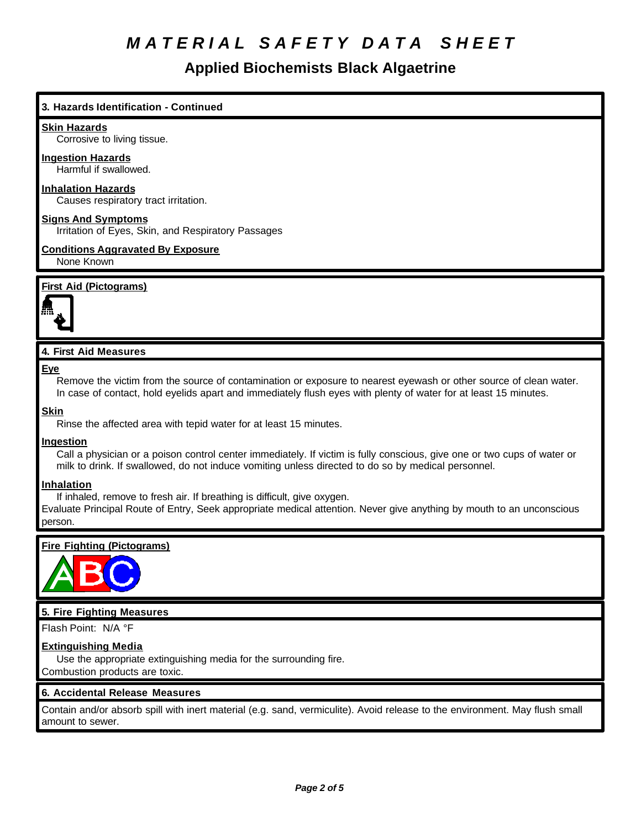## **Applied Biochemists Black Algaetrine**

#### **3. Hazards Identification - Continued**

#### **Skin Hazards**

Corrosive to living tissue.

### **Ingestion Hazards**

Harmful if swallowed.

#### **Inhalation Hazards**

Causes respiratory tract irritation.

#### **Signs And Symptoms**

Irritation of Eyes, Skin, and Respiratory Passages

#### **Conditions Aggravated By Exposure** None Known

#### **First Aid (Pictograms)**



#### **4. First Aid Measures**

**Eye**

Remove the victim from the source of contamination or exposure to nearest eyewash or other source of clean water. In case of contact, hold eyelids apart and immediately flush eyes with plenty of water for at least 15 minutes.

#### **Skin**

Rinse the affected area with tepid water for at least 15 minutes.

#### **Ingestion**

Call a physician or a poison control center immediately. If victim is fully conscious, give one or two cups of water or milk to drink. If swallowed, do not induce vomiting unless directed to do so by medical personnel.

#### **Inhalation**

If inhaled, remove to fresh air. If breathing is difficult, give oxygen.

Evaluate Principal Route of Entry, Seek appropriate medical attention. Never give anything by mouth to an unconscious person.

#### **Fire Fighting (Pictograms)**



#### **5. Fire Fighting Measures**

Flash Point: N/A °F

#### **Extinguishing Media**

Use the appropriate extinguishing media for the surrounding fire. Combustion products are toxic.

#### **6. Accidental Release Measures**

Contain and/or absorb spill with inert material (e.g. sand, vermiculite). Avoid release to the environment. May flush small amount to sewer.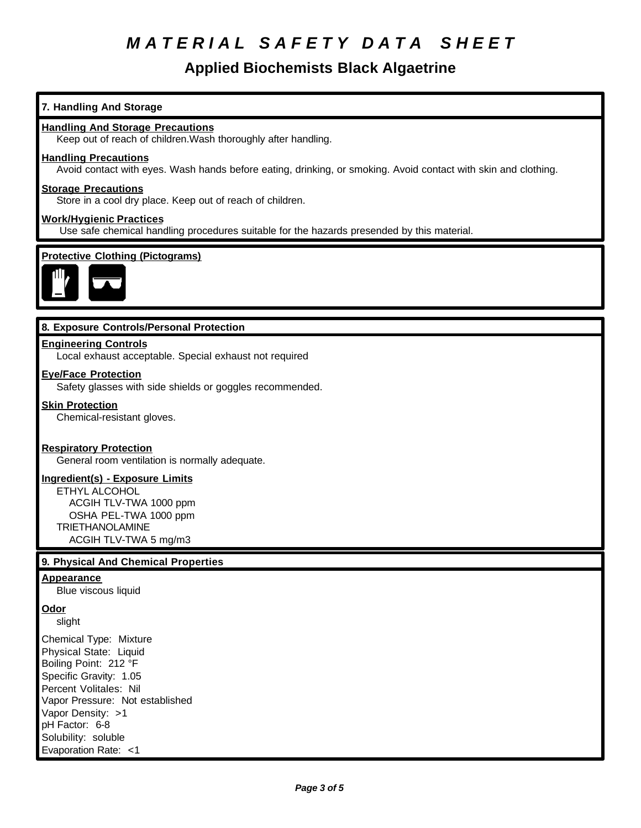**Applied Biochemists Black Algaetrine**

## **7. Handling And Storage Handling And Storage Precautions** Keep out of reach of children.Wash thoroughly after handling. **Handling Precautions** Avoid contact with eyes. Wash hands before eating, drinking, or smoking. Avoid contact with skin and clothing. **Storage Precautions** Store in a cool dry place. Keep out of reach of children. **Work/Hygienic Practices** Use safe chemical handling procedures suitable for the hazards presended by this material. **Protective Clothing (Pictograms) 8. Exposure Controls/Personal Protection Engineering Controls** Local exhaust acceptable. Special exhaust not required **Eye/Face Protection** Safety glasses with side shields or goggles recommended. **Skin Protection** Chemical-resistant gloves. **Respiratory Protection** General room ventilation is normally adequate. **Ingredient(s) - Exposure Limits** ETHYL ALCOHOL ACGIH TLV-TWA 1000 ppm OSHA PEL-TWA 1000 ppm TRIETHANOLAMINE ACGIH TLV-TWA 5 mg/m3 **9. Physical And Chemical Properties Appearance** Blue viscous liquid **Odor** slight Chemical Type: Mixture Physical State: Liquid Boiling Point: 212 °F Specific Gravity: 1.05 Percent Volitales: Nil Vapor Pressure: Not established Vapor Density: >1 pH Factor: 6-8 Solubility: soluble Evaporation Rate: <1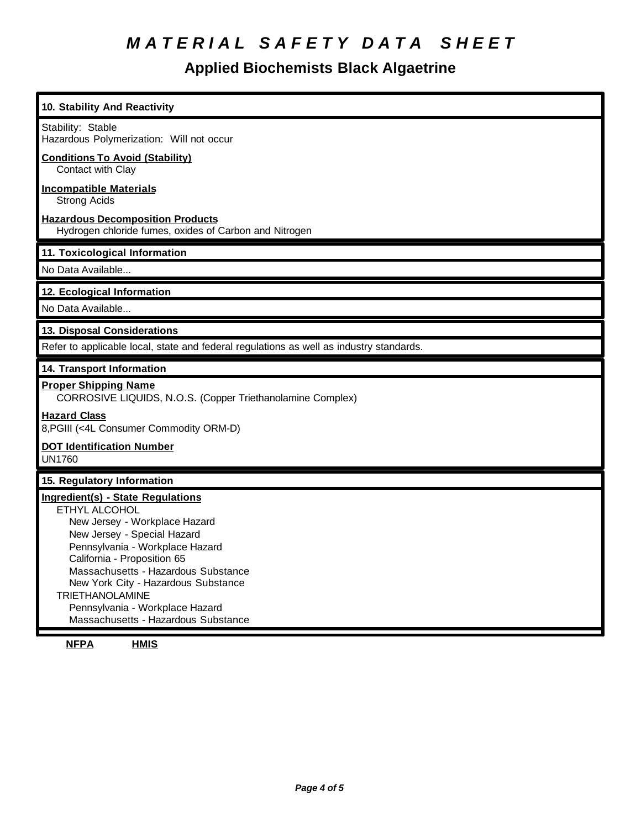# **Applied Biochemists Black Algaetrine**

| 10. Stability And Reactivity                                                                                                                                                                                                                                                                                                                                                  |
|-------------------------------------------------------------------------------------------------------------------------------------------------------------------------------------------------------------------------------------------------------------------------------------------------------------------------------------------------------------------------------|
| Stability: Stable<br>Hazardous Polymerization: Will not occur                                                                                                                                                                                                                                                                                                                 |
| <b>Conditions To Avoid (Stability)</b><br>Contact with Clay                                                                                                                                                                                                                                                                                                                   |
| <b>Incompatible Materials</b><br><b>Strong Acids</b>                                                                                                                                                                                                                                                                                                                          |
| <b>Hazardous Decomposition Products</b><br>Hydrogen chloride fumes, oxides of Carbon and Nitrogen                                                                                                                                                                                                                                                                             |
| 11. Toxicological Information                                                                                                                                                                                                                                                                                                                                                 |
| No Data Available                                                                                                                                                                                                                                                                                                                                                             |
| 12. Ecological Information                                                                                                                                                                                                                                                                                                                                                    |
| No Data Available                                                                                                                                                                                                                                                                                                                                                             |
| 13. Disposal Considerations                                                                                                                                                                                                                                                                                                                                                   |
| Refer to applicable local, state and federal regulations as well as industry standards.                                                                                                                                                                                                                                                                                       |
| 14. Transport Information                                                                                                                                                                                                                                                                                                                                                     |
| <b>Proper Shipping Name</b><br>CORROSIVE LIQUIDS, N.O.S. (Copper Triethanolamine Complex)                                                                                                                                                                                                                                                                                     |
| <b>Hazard Class</b><br>8, PGIII (<4L Consumer Commodity ORM-D)                                                                                                                                                                                                                                                                                                                |
| <b>DOT Identification Number</b><br><b>UN1760</b>                                                                                                                                                                                                                                                                                                                             |
| 15. Regulatory Information                                                                                                                                                                                                                                                                                                                                                    |
| <b>Ingredient(s) - State Regulations</b><br>ETHYL ALCOHOL<br>New Jersey - Workplace Hazard<br>New Jersey - Special Hazard<br>Pennsylvania - Workplace Hazard<br>California - Proposition 65<br>Massachusetts - Hazardous Substance<br>New York City - Hazardous Substance<br><b>TRIETHANOLAMINE</b><br>Pennsylvania - Workplace Hazard<br>Massachusetts - Hazardous Substance |

**NFPA HMIS**